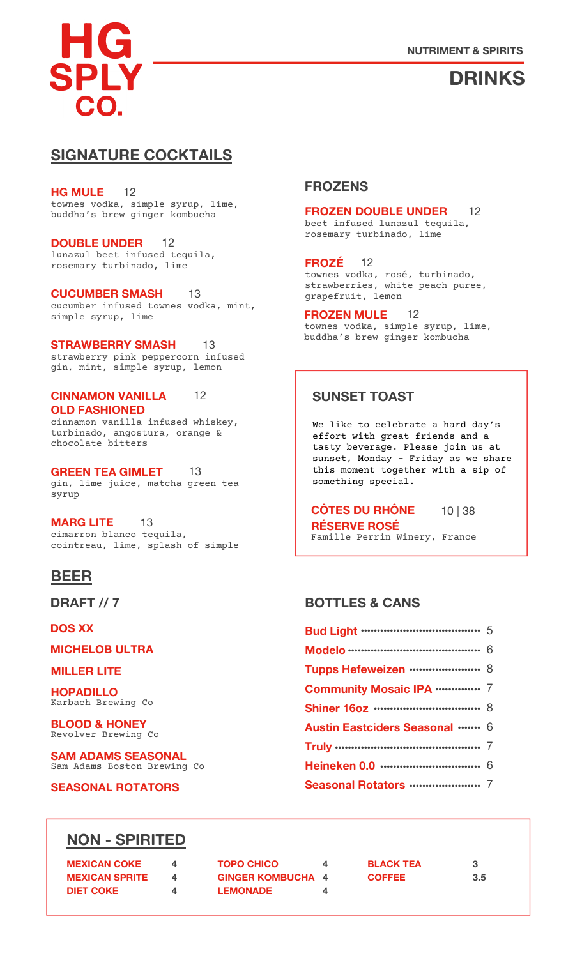

# **DRINKS**

# **SIGNATURE COCKTAILS**

townes vodka, simple syrup, lime, buddha's brew ginger kombucha **HG MULE** 12

lunazul beet infused tequila, rosemary turbinado, lime **DOUBLE UNDER** 12

cucumber infused townes vodka, mint, simple syrup, lime **CUCUMBER SMASH** 13

strawberry pink peppercorn infused gin, mint, simple syrup, lemon **STRAWBERRY SMASH** 13

#### **CINNAMON VANILLA OLD FASHIONED** 12

cinnamon vanilla infused whiskey, turbinado, angostura, orange & chocolate bitters

gin, lime juice, matcha green tea syrup **GREEN TEA GIMLET** 13

cimarron blanco tequila, cointreau, lime, splash of simple **MARG LITE** 13

# **BEER**

**DOS XX**

**MICHELOB ULTRA**

#### **MILLER LITE**

Karbach Brewing Co **HOPADILLO**

Revolver Brewing Co **BLOOD & HONEY**

Sam Adams Boston Brewing Co **SAM ADAMS SEASONAL**

**SEASONAL ROTATORS**

### **FROZENS**

#### **FROZEN DOUBLE UNDER** 12

beet infused lunazul tequila, rosemary turbinado, lime

townes vodka, rosé, turbinado, strawberries, white peach puree, grapefruit, lemon **FROZÉ** 12

townes vodka, simple syrup, lime, buddha's brew ginger kombucha **FROZEN MULE** 12

### **SUNSET TOAST**

We like to celebrate a hard day's effort with great friends and a tasty beverage. Please join us at sunset, Monday – Friday as we share this moment together with a sip of something special.

Famille Perrin Winery, France **CÔTES DU RHÔNE RÉSERVE ROSÉ** 10 | 38

### **DRAFT // 7 BOTTLES & CANS**

| <b>Bud Light ……………………………</b> 5       |  |
|--------------------------------------|--|
|                                      |  |
| Tupps Hefeweizen  8                  |  |
| <b>Community Mosaic IPA </b> 7       |  |
|                                      |  |
| <b>Austin Eastciders Seasonal  6</b> |  |
|                                      |  |
|                                      |  |
|                                      |  |

# **NON - SPIRITED**

| <b>MEXICAN COKE</b>   | $\overline{a}$ | <b>TOPO CHICO</b>        |   |  |
|-----------------------|----------------|--------------------------|---|--|
| <b>MEXICAN SPRITE</b> |                | <b>GINGER KOMBUCHA 4</b> |   |  |
| <b>DIET COKE</b>      | 4              | <b>LEMONADE</b>          | Δ |  |

**BLACK TEA COFFEE**

**3 3.5**